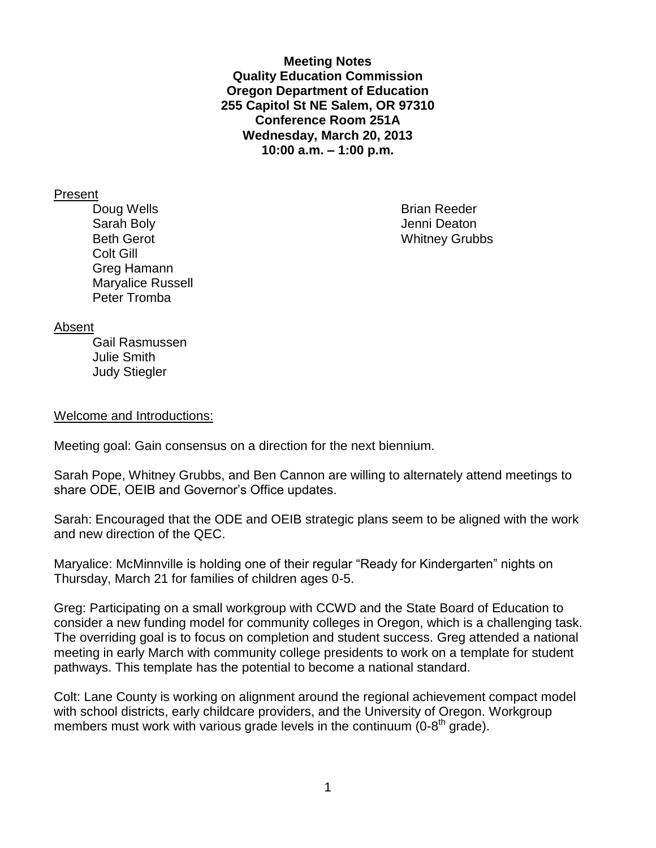**Meeting Notes Quality Education Commission Oregon Department of Education 255 Capitol St NE Salem, OR 97310 Conference Room 251A Wednesday, March 20, 2013 10:00 a.m. – 1:00 p.m.**

### Present

Doug Wells **Brian Reeder Brian Reeder** Sarah Boly **Sarah Boly Jenni Deaton** Beth Gerot Whitney Grubbs Colt Gill Greg Hamann Maryalice Russell Peter Tromba

### Absent

Gail Rasmussen Julie Smith Judy Stiegler

#### Welcome and Introductions:

Meeting goal: Gain consensus on a direction for the next biennium.

Sarah Pope, Whitney Grubbs, and Ben Cannon are willing to alternately attend meetings to share ODE, OEIB and Governor's Office updates.

Sarah: Encouraged that the ODE and OEIB strategic plans seem to be aligned with the work and new direction of the QEC.

Maryalice: McMinnville is holding one of their regular "Ready for Kindergarten" nights on Thursday, March 21 for families of children ages 0-5.

Greg: Participating on a small workgroup with CCWD and the State Board of Education to consider a new funding model for community colleges in Oregon, which is a challenging task. The overriding goal is to focus on completion and student success. Greg attended a national meeting in early March with community college presidents to work on a template for student pathways. This template has the potential to become a national standard.

Colt: Lane County is working on alignment around the regional achievement compact model with school districts, early childcare providers, and the University of Oregon. Workgroup members must work with various grade levels in the continuum  $(0-8<sup>th</sup>$  grade).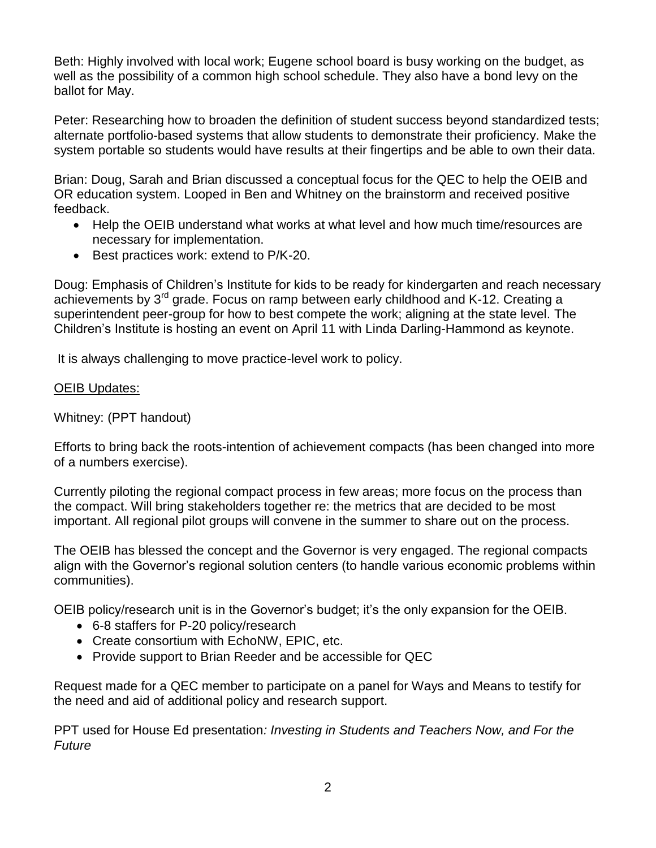Beth: Highly involved with local work; Eugene school board is busy working on the budget, as well as the possibility of a common high school schedule. They also have a bond levy on the ballot for May.

Peter: Researching how to broaden the definition of student success beyond standardized tests; alternate portfolio-based systems that allow students to demonstrate their proficiency. Make the system portable so students would have results at their fingertips and be able to own their data.

Brian: Doug, Sarah and Brian discussed a conceptual focus for the QEC to help the OEIB and OR education system. Looped in Ben and Whitney on the brainstorm and received positive feedback.

- Help the OEIB understand what works at what level and how much time/resources are necessary for implementation.
- **Best practices work: extend to P/K-20.**

Doug: Emphasis of Children's Institute for kids to be ready for kindergarten and reach necessary achievements by  $3^{rd}$  grade. Focus on ramp between early childhood and K-12. Creating a superintendent peer-group for how to best compete the work; aligning at the state level. The Children's Institute is hosting an event on April 11 with Linda Darling-Hammond as keynote.

It is always challenging to move practice-level work to policy.

# OEIB Updates:

Whitney: (PPT handout)

Efforts to bring back the roots-intention of achievement compacts (has been changed into more of a numbers exercise).

Currently piloting the regional compact process in few areas; more focus on the process than the compact. Will bring stakeholders together re: the metrics that are decided to be most important. All regional pilot groups will convene in the summer to share out on the process.

The OEIB has blessed the concept and the Governor is very engaged. The regional compacts align with the Governor's regional solution centers (to handle various economic problems within communities).

OEIB policy/research unit is in the Governor's budget; it's the only expansion for the OEIB.

- 6-8 staffers for P-20 policy/research
- Create consortium with EchoNW, EPIC, etc.
- Provide support to Brian Reeder and be accessible for QEC

Request made for a QEC member to participate on a panel for Ways and Means to testify for the need and aid of additional policy and research support.

PPT used for House Ed presentation*: Investing in Students and Teachers Now, and For the Future*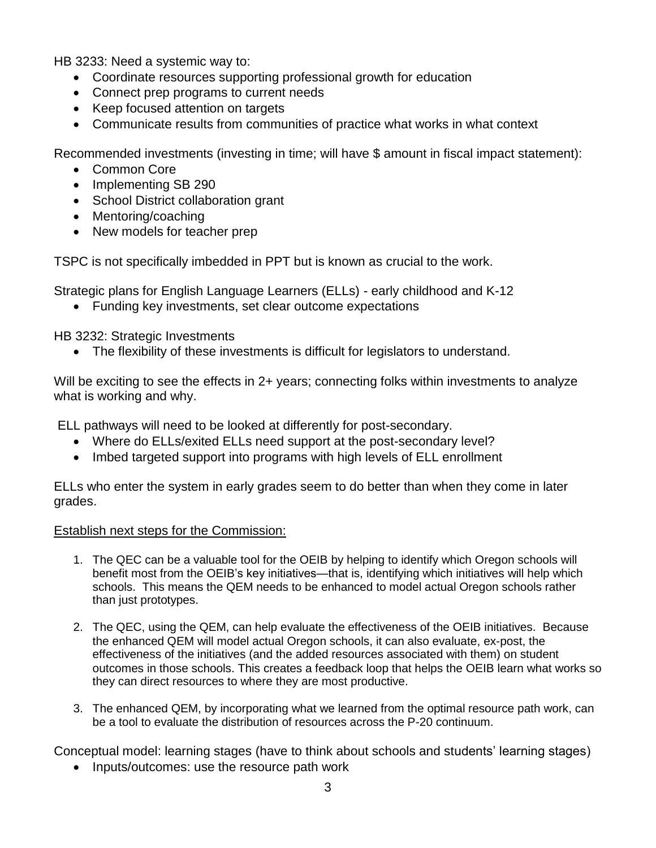HB 3233: Need a systemic way to:

- Coordinate resources supporting professional growth for education
- Connect prep programs to current needs
- Keep focused attention on targets
- Communicate results from communities of practice what works in what context

Recommended investments (investing in time; will have \$ amount in fiscal impact statement):

- Common Core
- Implementing SB 290
- School District collaboration grant
- Mentoring/coaching
- New models for teacher prep

TSPC is not specifically imbedded in PPT but is known as crucial to the work.

Strategic plans for English Language Learners (ELLs) - early childhood and K-12

• Funding key investments, set clear outcome expectations

HB 3232: Strategic Investments

The flexibility of these investments is difficult for legislators to understand.

Will be exciting to see the effects in 2+ years; connecting folks within investments to analyze what is working and why.

ELL pathways will need to be looked at differently for post-secondary.

- Where do ELLs/exited ELLs need support at the post-secondary level?
- Imbed targeted support into programs with high levels of ELL enrollment

ELLs who enter the system in early grades seem to do better than when they come in later grades.

## Establish next steps for the Commission:

- 1. The QEC can be a valuable tool for the OEIB by helping to identify which Oregon schools will benefit most from the OEIB's key initiatives—that is, identifying which initiatives will help which schools. This means the QEM needs to be enhanced to model actual Oregon schools rather than just prototypes.
- 2. The QEC, using the QEM, can help evaluate the effectiveness of the OEIB initiatives. Because the enhanced QEM will model actual Oregon schools, it can also evaluate, ex-post, the effectiveness of the initiatives (and the added resources associated with them) on student outcomes in those schools. This creates a feedback loop that helps the OEIB learn what works so they can direct resources to where they are most productive.
- 3. The enhanced QEM, by incorporating what we learned from the optimal resource path work, can be a tool to evaluate the distribution of resources across the P-20 continuum.

Conceptual model: learning stages (have to think about schools and students' learning stages)

• Inputs/outcomes: use the resource path work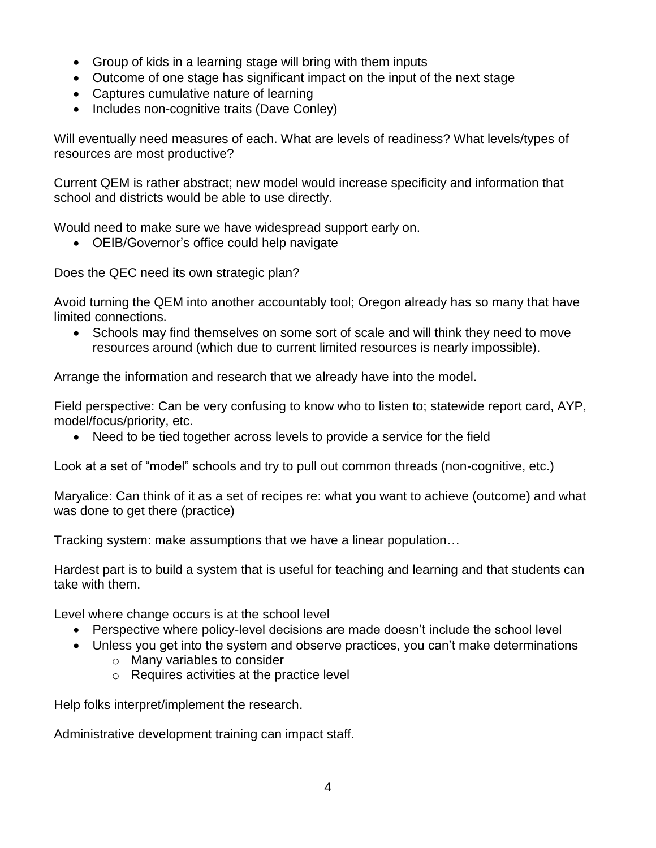- Group of kids in a learning stage will bring with them inputs
- Outcome of one stage has significant impact on the input of the next stage
- Captures cumulative nature of learning
- Includes non-cognitive traits (Dave Conley)

Will eventually need measures of each. What are levels of readiness? What levels/types of resources are most productive?

Current QEM is rather abstract; new model would increase specificity and information that school and districts would be able to use directly.

Would need to make sure we have widespread support early on.

OEIB/Governor's office could help navigate

Does the QEC need its own strategic plan?

Avoid turning the QEM into another accountably tool; Oregon already has so many that have limited connections.

• Schools may find themselves on some sort of scale and will think they need to move resources around (which due to current limited resources is nearly impossible).

Arrange the information and research that we already have into the model.

Field perspective: Can be very confusing to know who to listen to; statewide report card, AYP, model/focus/priority, etc.

• Need to be tied together across levels to provide a service for the field

Look at a set of "model" schools and try to pull out common threads (non-cognitive, etc.)

Maryalice: Can think of it as a set of recipes re: what you want to achieve (outcome) and what was done to get there (practice)

Tracking system: make assumptions that we have a linear population…

Hardest part is to build a system that is useful for teaching and learning and that students can take with them.

Level where change occurs is at the school level

- Perspective where policy-level decisions are made doesn't include the school level
- Unless you get into the system and observe practices, you can't make determinations
	- o Many variables to consider
	- o Requires activities at the practice level

Help folks interpret/implement the research.

Administrative development training can impact staff.